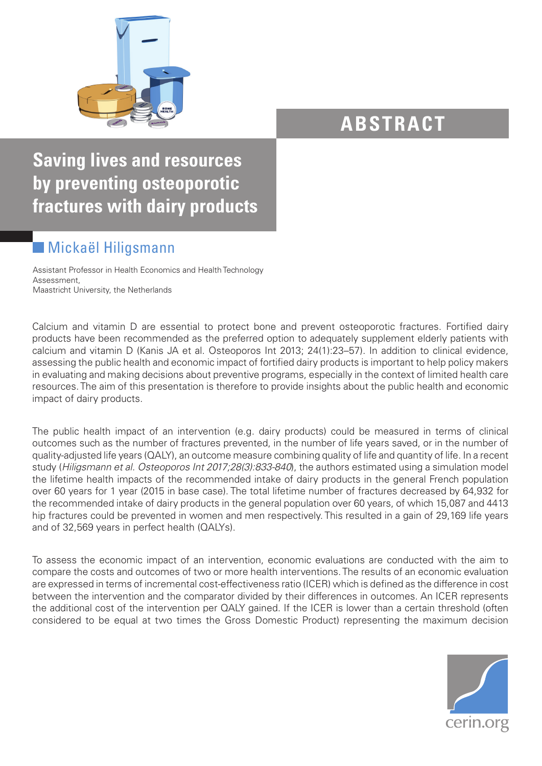

## **ABSTRACT**

**Saving lives and resources by preventing osteoporotic fractures with dairy products**

## Mickaël Hiligsmann

Assistant Professor in Health Economics and Health Technology Assessment, Maastricht University, the Netherlands

Calcium and vitamin D are essential to protect bone and prevent osteoporotic fractures. Fortified dairy products have been recommended as the preferred option to adequately supplement elderly patients with calcium and vitamin D (Kanis JA et al. Osteoporos Int 2013; 24(1):23–57). In addition to clinical evidence, assessing the public health and economic impact of fortified dairy products is important to help policy makers in evaluating and making decisions about preventive programs, especially in the context of limited health care resources. The aim of this presentation is therefore to provide insights about the public health and economic impact of dairy products.

The public health impact of an intervention (e.g. dairy products) could be measured in terms of clinical outcomes such as the number of fractures prevented, in the number of life years saved, or in the number of quality-adjusted life years (QALY), an outcome measure combining quality of life and quantity of life. In a recent study (*Hiligsmann et al. Osteoporos Int 2017;28(3):833-840*), the authors estimated using a simulation model the lifetime health impacts of the recommended intake of dairy products in the general French population over 60 years for 1 year (2015 in base case). The total lifetime number of fractures decreased by 64,932 for the recommended intake of dairy products in the general population over 60 years, of which 15,087 and 4413 hip fractures could be prevented in women and men respectively. This resulted in a gain of 29,169 life years and of 32,569 years in perfect health (QALYs).

To assess the economic impact of an intervention, economic evaluations are conducted with the aim to compare the costs and outcomes of two or more health interventions. The results of an economic evaluation are expressed in terms of incremental cost-effectiveness ratio (ICER) which is defined as the difference in cost between the intervention and the comparator divided by their differences in outcomes. An ICER represents the additional cost of the intervention per QALY gained. If the ICER is lower than a certain threshold (often considered to be equal at two times the Gross Domestic Product) representing the maximum decision